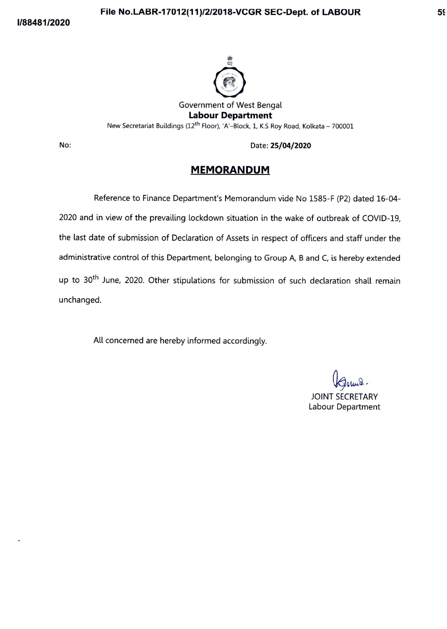## **File No.LABR-17012(11)/2/2018-VCGR SEC-Dept. of LABOUR 55:**



Government of West Bengal **Labour Department**  New Secretariat Buildings (12<sup>th</sup> Floor), 'A'-Block, 1, K.S Roy Road, Kolkata - 700001

**No:** Date: **25/04/2020** 

## **MEMORANDUM**

Reference to Finance Department's Memorandum vide No 1585-F (P2) dated 16-04- 2020 and in view of the prevailing lockdown situation in the wake of outbreak of COVID-19, the last date of submission of Declaration of Assets in respect of officers and staff under the administrative control of this Department, belonging to Group A, B and C, is hereby extended up to 30<sup>th</sup> June, 2020. Other stipulations for submission of such declaration shall remain unchanged.

All concerned are hereby informed accordingly.

~~- JOINT SECRETARY

Labour Department